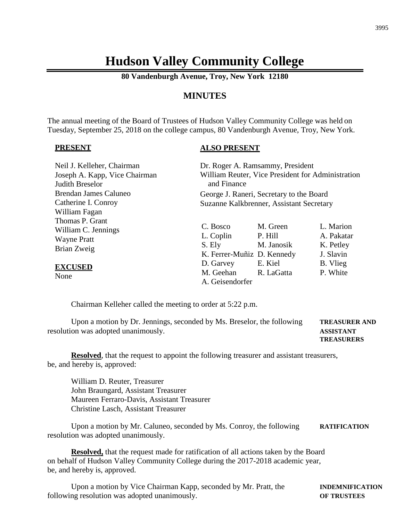## **Hudson Valley Community College**

**80 Vandenburgh Avenue, Troy, New York 12180**

### **MINUTES**

The annual meeting of the Board of Trustees of Hudson Valley Community College was held on Tuesday, September 25, 2018 on the college campus, 80 Vandenburgh Avenue, Troy, New York.

#### **PRESENT**

#### **ALSO PRESENT**

| Neil J. Kelleher, Chairman<br>Joseph A. Kapp, Vice Chairman<br>Judith Breselor | Dr. Roger A. Ramsammy, President<br>William Reuter, Vice President for Administration<br>and Finance |                                   |                                                   |
|--------------------------------------------------------------------------------|------------------------------------------------------------------------------------------------------|-----------------------------------|---------------------------------------------------|
| Brendan James Caluneo<br>Catherine I. Conroy<br>William Fagan                  | George J. Raneri, Secretary to the Board<br>Suzanne Kalkbrenner, Assistant Secretary                 |                                   |                                                   |
| Thomas P. Grant<br>William C. Jennings<br><b>Wayne Pratt</b><br>Brian Zweig    | C. Bosco<br>L. Coplin<br>S. Ely<br>K. Ferrer-Muñiz D. Kennedy                                        | M. Green<br>P. Hill<br>M. Janosik | L. Marion<br>A. Pakatar<br>K. Petley<br>J. Slavin |
| <b>EXCUSED</b><br>None                                                         | D. Garvey<br>M. Geehan<br>A. Geisendorfer                                                            | E. Kiel<br>R. LaGatta             | B. Vlieg<br>P. White                              |

Chairman Kelleher called the meeting to order at 5:22 p.m.

Upon a motion by Dr. Jennings, seconded by Ms. Breselor, the following **TREASURER AND** resolution was adopted unanimously. **ASSISTANT TREASURERS**

**Resolved**, that the request to appoint the following treasurer and assistant treasurers, be, and hereby is, approved:

William D. Reuter, Treasurer John Braungard, Assistant Treasurer Maureen Ferraro-Davis, Assistant Treasurer Christine Lasch, Assistant Treasurer

Upon a motion by Mr. Caluneo, seconded by Ms. Conroy, the following **RATIFICATION** resolution was adopted unanimously.

**Resolved,** that the request made for ratification of all actions taken by the Board on behalf of Hudson Valley Community College during the 2017-2018 academic year, be, and hereby is, approved.

Upon a motion by Vice Chairman Kapp, seconded by Mr. Pratt, the **INDEMNIFICATION** following resolution was adopted unanimously. **OF TRUSTEES**